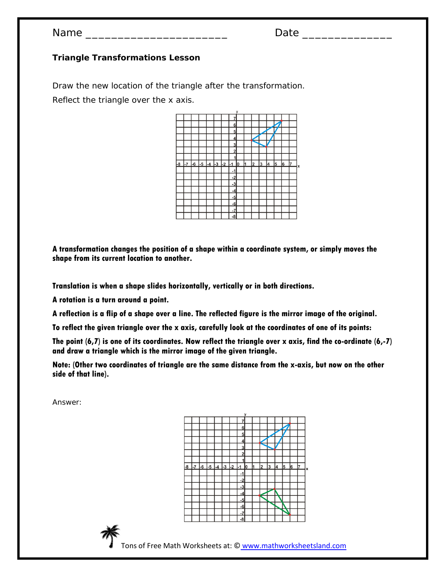$Name$ 

#### **Triangle Transformations Lesson**

Draw the new location of the triangle after the transformation. Reflect the triangle over the x axis.



**A transformation changes the position of a shape within a coordinate system, or simply moves the shape from its current location to another.** 

**Translation is when a shape slides horizontally, vertically or in both directions.**

**A rotation is a turn around a point.**

**A reflection is a flip of a shape over a line. The reflected figure is the mirror image of the original.** 

**To reflect the given triangle over the x axis, carefully look at the coordinates of one of its points:**

**The point (6,7) is one of its coordinates. Now reflect the triangle over x axis, find the co-ordinate (6,-7) and draw a triangle which is the mirror image of the given triangle.**

**Note: (Other two coordinates of triangle are the same distance from the x-axis, but now on the other side of that line).**

Answer:





Tons of Free Math Worksheets at: © www.mathworksheetsland.com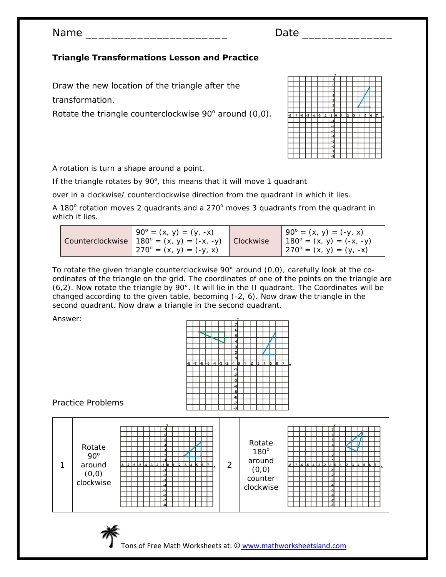Name \_\_\_\_\_\_\_\_\_\_\_\_\_\_\_\_\_\_\_\_\_\_ Date \_\_\_\_\_\_\_\_\_\_\_\_\_\_

# **Triangle Transformations Lesson and Practice**

Draw the new location of the triangle after the transformation.

Rotate the triangle counterclockwise  $90^\circ$  around  $(0,0)$ .



A rotation is turn a shape around a point.

If the triangle rotates by  $90^\circ$ , this means that it will move 1 quadrant

over in a clockwise/ counterclockwise direction from the quadrant in which it lies.

A 180 $^{\circ}$  rotation moves 2 quadrants and a 270 $^{\circ}$  moves 3 quadrants from the quadrant in which it lies.

| $90^{\circ} = (x, y) = (y, -x)$<br>Counterclockwise $180^\circ = (x, y) = (-x, -y)$<br>$(4.270^{\circ} = (x, y) = (-y, x)$ | <b>Clockwise</b> | $190^{\circ} = (x, y) = (-y, x)$<br>$180^{\circ} = (x, y) = (-x, -y)$<br>$270^{\circ} = (x, y) = (y, -x)$ |
|----------------------------------------------------------------------------------------------------------------------------|------------------|-----------------------------------------------------------------------------------------------------------|
|----------------------------------------------------------------------------------------------------------------------------|------------------|-----------------------------------------------------------------------------------------------------------|

To rotate the given triangle counterclockwise 90° around (0,0), carefully look at the coordinates of the triangle on the grid. The coordinates of one of the points on the triangle are (6,2). Now rotate the triangle by 90°. It will lie in the II quadrant. The Coordinates will be changed according to the given table, becoming (-2, 6). Now draw the triangle in the second quadrant. Now draw a triangle in the second quadrant.

Answer:

|     |  |    |      |  |      | 1    |                                                                                                                           |                                              |                         |   |   |   |    |    |
|-----|--|----|------|--|------|------|---------------------------------------------------------------------------------------------------------------------------|----------------------------------------------|-------------------------|---|---|---|----|----|
| l-7 |  |    | $-4$ |  |      |      |                                                                                                                           | h                                            | $\overline{\mathbf{2}}$ | 3 | 4 | 5 |    | b  |
|     |  |    |      |  |      |      |                                                                                                                           |                                              |                         |   |   |   |    |    |
|     |  |    |      |  |      |      |                                                                                                                           |                                              |                         |   |   |   |    |    |
|     |  |    |      |  |      |      |                                                                                                                           |                                              |                         |   |   |   |    |    |
|     |  |    |      |  |      |      |                                                                                                                           |                                              |                         |   |   |   |    |    |
|     |  |    |      |  |      |      |                                                                                                                           |                                              |                         |   |   |   |    |    |
|     |  |    |      |  |      |      |                                                                                                                           |                                              |                         |   |   |   |    |    |
|     |  |    |      |  |      |      |                                                                                                                           |                                              |                         |   |   |   |    |    |
|     |  |    |      |  |      |      |                                                                                                                           |                                              |                         |   |   |   |    |    |
|     |  | -6 | -5   |  | $-3$ | $-2$ | $6\overline{6}$<br>5<br>$\overline{\mathbf{4}}$<br>$\overline{3}$<br>$-1$<br>$-2$<br>$-3$<br>$-4$<br>$-5$<br>$-6$<br>$-7$ | $\overline{2}$<br><u>lo</u><br>$-1$<br>$-8'$ |                         |   |   |   | l6 | 17 |

### Practice Problems





Tons of Free Math Worksheets at: © www.mathworksheetsland.com